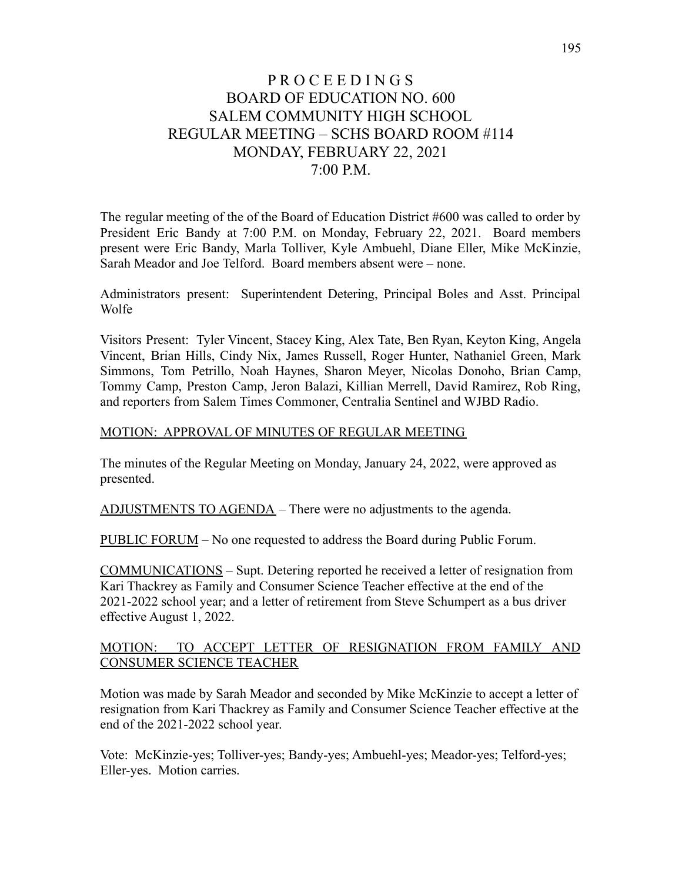# P R O C E E D I N G S BOARD OF EDUCATION NO. 600 SALEM COMMUNITY HIGH SCHOOL REGULAR MEETING – SCHS BOARD ROOM #114 MONDAY, FEBRUARY 22, 2021 7:00 P.M.

The regular meeting of the of the Board of Education District #600 was called to order by President Eric Bandy at 7:00 P.M. on Monday, February 22, 2021. Board members present were Eric Bandy, Marla Tolliver, Kyle Ambuehl, Diane Eller, Mike McKinzie, Sarah Meador and Joe Telford. Board members absent were – none.

Administrators present: Superintendent Detering, Principal Boles and Asst. Principal Wolfe

Visitors Present: Tyler Vincent, Stacey King, Alex Tate, Ben Ryan, Keyton King, Angela Vincent, Brian Hills, Cindy Nix, James Russell, Roger Hunter, Nathaniel Green, Mark Simmons, Tom Petrillo, Noah Haynes, Sharon Meyer, Nicolas Donoho, Brian Camp, Tommy Camp, Preston Camp, Jeron Balazi, Killian Merrell, David Ramirez, Rob Ring, and reporters from Salem Times Commoner, Centralia Sentinel and WJBD Radio.

#### MOTION: APPROVAL OF MINUTES OF REGULAR MEETING

The minutes of the Regular Meeting on Monday, January 24, 2022, were approved as presented.

ADJUSTMENTS TO AGENDA – There were no adjustments to the agenda.

PUBLIC FORUM – No one requested to address the Board during Public Forum.

COMMUNICATIONS – Supt. Detering reported he received a letter of resignation from Kari Thackrey as Family and Consumer Science Teacher effective at the end of the 2021-2022 school year; and a letter of retirement from Steve Schumpert as a bus driver effective August 1, 2022.

### MOTION: TO ACCEPT LETTER OF RESIGNATION FROM FAMILY AND CONSUMER SCIENCE TEACHER

Motion was made by Sarah Meador and seconded by Mike McKinzie to accept a letter of resignation from Kari Thackrey as Family and Consumer Science Teacher effective at the end of the 2021-2022 school year.

Vote: McKinzie-yes; Tolliver-yes; Bandy-yes; Ambuehl-yes; Meador-yes; Telford-yes; Eller-yes. Motion carries.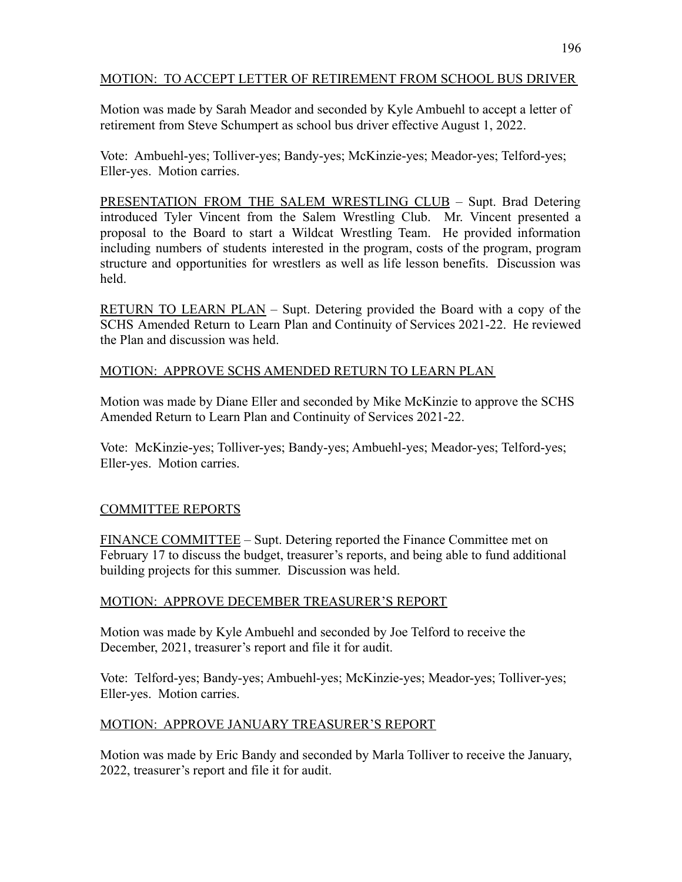## MOTION: TO ACCEPT LETTER OF RETIREMENT FROM SCHOOL BUS DRIVER

Motion was made by Sarah Meador and seconded by Kyle Ambuehl to accept a letter of retirement from Steve Schumpert as school bus driver effective August 1, 2022.

Vote: Ambuehl-yes; Tolliver-yes; Bandy-yes; McKinzie-yes; Meador-yes; Telford-yes; Eller-yes. Motion carries.

PRESENTATION FROM THE SALEM WRESTLING CLUB – Supt. Brad Detering introduced Tyler Vincent from the Salem Wrestling Club. Mr. Vincent presented a proposal to the Board to start a Wildcat Wrestling Team. He provided information including numbers of students interested in the program, costs of the program, program structure and opportunities for wrestlers as well as life lesson benefits. Discussion was held.

RETURN TO LEARN PLAN – Supt. Detering provided the Board with a copy of the SCHS Amended Return to Learn Plan and Continuity of Services 2021-22. He reviewed the Plan and discussion was held.

## MOTION: APPROVE SCHS AMENDED RETURN TO LEARN PLAN

Motion was made by Diane Eller and seconded by Mike McKinzie to approve the SCHS Amended Return to Learn Plan and Continuity of Services 2021-22.

Vote: McKinzie-yes; Tolliver-yes; Bandy-yes; Ambuehl-yes; Meador-yes; Telford-yes; Eller-yes. Motion carries.

## COMMITTEE REPORTS

FINANCE COMMITTEE – Supt. Detering reported the Finance Committee met on February 17 to discuss the budget, treasurer's reports, and being able to fund additional building projects for this summer. Discussion was held.

## MOTION: APPROVE DECEMBER TREASURER'S REPORT

Motion was made by Kyle Ambuehl and seconded by Joe Telford to receive the December, 2021, treasurer's report and file it for audit.

Vote: Telford-yes; Bandy-yes; Ambuehl-yes; McKinzie-yes; Meador-yes; Tolliver-yes; Eller-yes. Motion carries.

## MOTION: APPROVE JANUARY TREASURER'S REPORT

Motion was made by Eric Bandy and seconded by Marla Tolliver to receive the January, 2022, treasurer's report and file it for audit.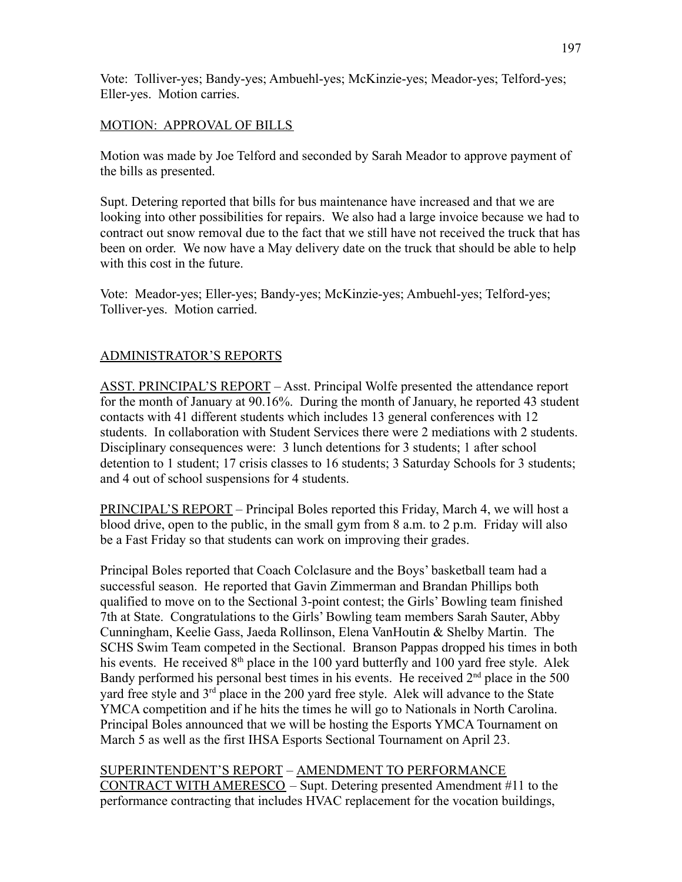Vote: Tolliver-yes; Bandy-yes; Ambuehl-yes; McKinzie-yes; Meador-yes; Telford-yes; Eller-yes. Motion carries.

### MOTION: APPROVAL OF BILLS

Motion was made by Joe Telford and seconded by Sarah Meador to approve payment of the bills as presented.

Supt. Detering reported that bills for bus maintenance have increased and that we are looking into other possibilities for repairs. We also had a large invoice because we had to contract out snow removal due to the fact that we still have not received the truck that has been on order. We now have a May delivery date on the truck that should be able to help with this cost in the future.

Vote: Meador-yes; Eller-yes; Bandy-yes; McKinzie-yes; Ambuehl-yes; Telford-yes; Tolliver-yes. Motion carried.

### ADMINISTRATOR'S REPORTS

ASST. PRINCIPAL'S REPORT – Asst. Principal Wolfe presented the attendance report for the month of January at 90.16%. During the month of January, he reported 43 student contacts with 41 different students which includes 13 general conferences with 12 students. In collaboration with Student Services there were 2 mediations with 2 students. Disciplinary consequences were: 3 lunch detentions for 3 students; 1 after school detention to 1 student; 17 crisis classes to 16 students; 3 Saturday Schools for 3 students; and 4 out of school suspensions for 4 students.

PRINCIPAL'S REPORT – Principal Boles reported this Friday, March 4, we will host a blood drive, open to the public, in the small gym from 8 a.m. to 2 p.m. Friday will also be a Fast Friday so that students can work on improving their grades.

Principal Boles reported that Coach Colclasure and the Boys' basketball team had a successful season. He reported that Gavin Zimmerman and Brandan Phillips both qualified to move on to the Sectional 3-point contest; the Girls' Bowling team finished 7th at State. Congratulations to the Girls' Bowling team members Sarah Sauter, Abby Cunningham, Keelie Gass, Jaeda Rollinson, Elena VanHoutin & Shelby Martin. The SCHS Swim Team competed in the Sectional. Branson Pappas dropped his times in both his events. He received 8<sup>th</sup> place in the 100 yard butterfly and 100 yard free style. Alek Bandy performed his personal best times in his events. He received  $2<sup>nd</sup>$  place in the 500 yard free style and  $3<sup>rd</sup>$  place in the 200 yard free style. Alek will advance to the State YMCA competition and if he hits the times he will go to Nationals in North Carolina. Principal Boles announced that we will be hosting the Esports YMCA Tournament on March 5 as well as the first IHSA Esports Sectional Tournament on April 23.

SUPERINTENDENT'S REPORT – AMENDMENT TO PERFORMANCE CONTRACT WITH AMERESCO – Supt. Detering presented Amendment #11 to the performance contracting that includes HVAC replacement for the vocation buildings,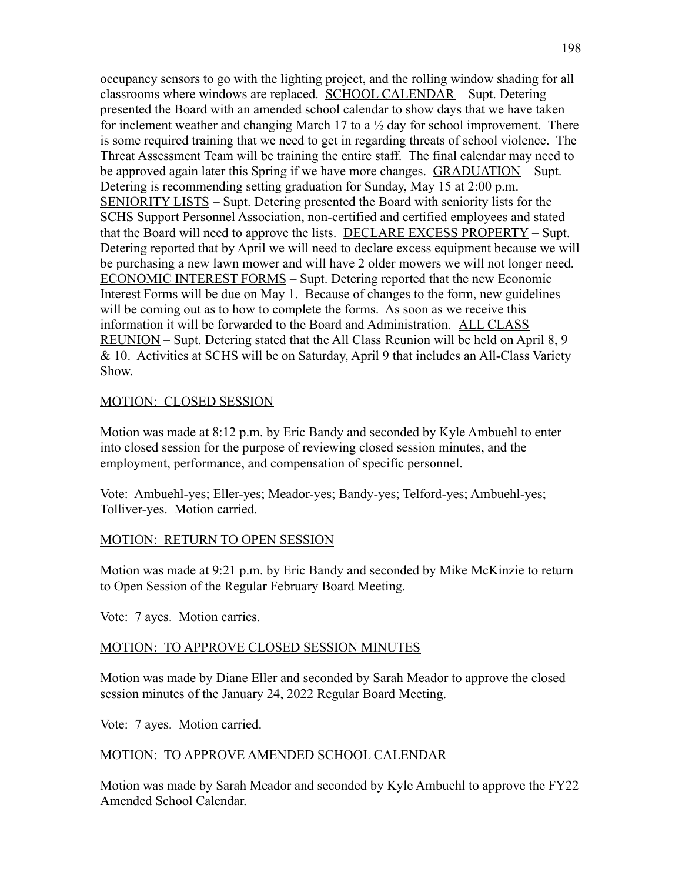occupancy sensors to go with the lighting project, and the rolling window shading for all classrooms where windows are replaced. SCHOOL CALENDAR – Supt. Detering presented the Board with an amended school calendar to show days that we have taken for inclement weather and changing March 17 to a  $\frac{1}{2}$  day for school improvement. There is some required training that we need to get in regarding threats of school violence. The Threat Assessment Team will be training the entire staff. The final calendar may need to be approved again later this Spring if we have more changes. GRADUATION – Supt. Detering is recommending setting graduation for Sunday, May 15 at 2:00 p.m. SENIORITY LISTS – Supt. Detering presented the Board with seniority lists for the SCHS Support Personnel Association, non-certified and certified employees and stated that the Board will need to approve the lists. DECLARE EXCESS PROPERTY – Supt. Detering reported that by April we will need to declare excess equipment because we will be purchasing a new lawn mower and will have 2 older mowers we will not longer need. ECONOMIC INTEREST FORMS – Supt. Detering reported that the new Economic Interest Forms will be due on May 1. Because of changes to the form, new guidelines will be coming out as to how to complete the forms. As soon as we receive this information it will be forwarded to the Board and Administration. ALL CLASS REUNION – Supt. Detering stated that the All Class Reunion will be held on April 8, 9 & 10. Activities at SCHS will be on Saturday, April 9 that includes an All-Class Variety Show.

#### MOTION: CLOSED SESSION

Motion was made at 8:12 p.m. by Eric Bandy and seconded by Kyle Ambuehl to enter into closed session for the purpose of reviewing closed session minutes, and the employment, performance, and compensation of specific personnel.

Vote: Ambuehl-yes; Eller-yes; Meador-yes; Bandy-yes; Telford-yes; Ambuehl-yes; Tolliver-yes. Motion carried.

#### MOTION: RETURN TO OPEN SESSION

Motion was made at 9:21 p.m. by Eric Bandy and seconded by Mike McKinzie to return to Open Session of the Regular February Board Meeting.

Vote: 7 ayes. Motion carries.

## MOTION: TO APPROVE CLOSED SESSION MINUTES

Motion was made by Diane Eller and seconded by Sarah Meador to approve the closed session minutes of the January 24, 2022 Regular Board Meeting.

Vote: 7 ayes. Motion carried.

## MOTION: TO APPROVE AMENDED SCHOOL CALENDAR

Motion was made by Sarah Meador and seconded by Kyle Ambuehl to approve the FY22 Amended School Calendar.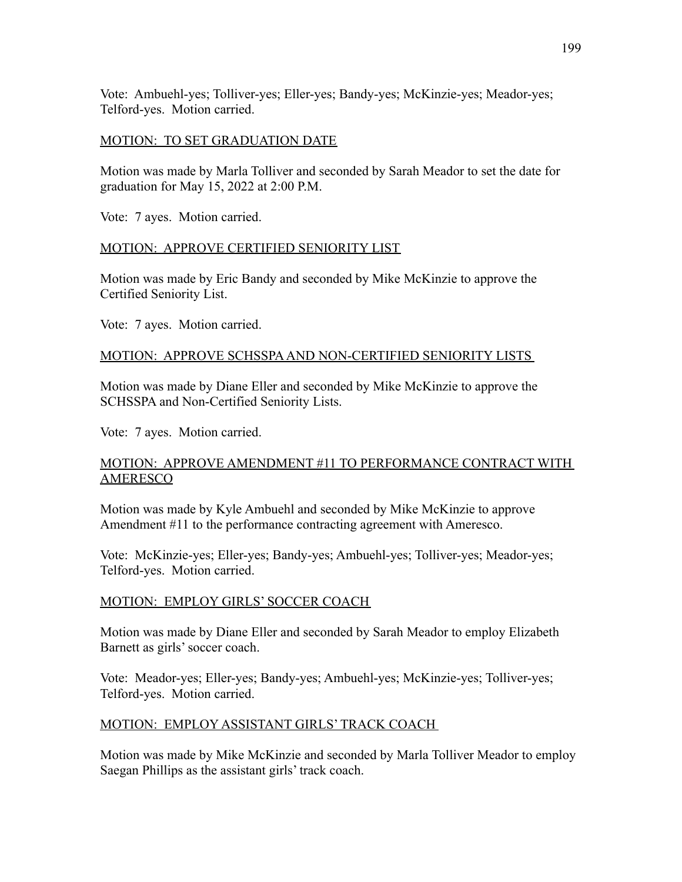Vote: Ambuehl-yes; Tolliver-yes; Eller-yes; Bandy-yes; McKinzie-yes; Meador-yes; Telford-yes. Motion carried.

### MOTION: TO SET GRADUATION DATE

Motion was made by Marla Tolliver and seconded by Sarah Meador to set the date for graduation for May 15, 2022 at 2:00 P.M.

Vote: 7 ayes. Motion carried.

### MOTION: APPROVE CERTIFIED SENIORITY LIST

Motion was made by Eric Bandy and seconded by Mike McKinzie to approve the Certified Seniority List.

Vote: 7 ayes. Motion carried.

#### MOTION: APPROVE SCHSSPAAND NON-CERTIFIED SENIORITY LISTS

Motion was made by Diane Eller and seconded by Mike McKinzie to approve the SCHSSPA and Non-Certified Seniority Lists.

Vote: 7 ayes. Motion carried.

### MOTION: APPROVE AMENDMENT #11 TO PERFORMANCE CONTRACT WITH AMERESCO

Motion was made by Kyle Ambuehl and seconded by Mike McKinzie to approve Amendment #11 to the performance contracting agreement with Ameresco.

Vote: McKinzie-yes; Eller-yes; Bandy-yes; Ambuehl-yes; Tolliver-yes; Meador-yes; Telford-yes. Motion carried.

## MOTION: EMPLOY GIRLS' SOCCER COACH

Motion was made by Diane Eller and seconded by Sarah Meador to employ Elizabeth Barnett as girls' soccer coach.

Vote: Meador-yes; Eller-yes; Bandy-yes; Ambuehl-yes; McKinzie-yes; Tolliver-yes; Telford-yes. Motion carried.

#### MOTION: EMPLOY ASSISTANT GIRLS' TRACK COACH

Motion was made by Mike McKinzie and seconded by Marla Tolliver Meador to employ Saegan Phillips as the assistant girls' track coach.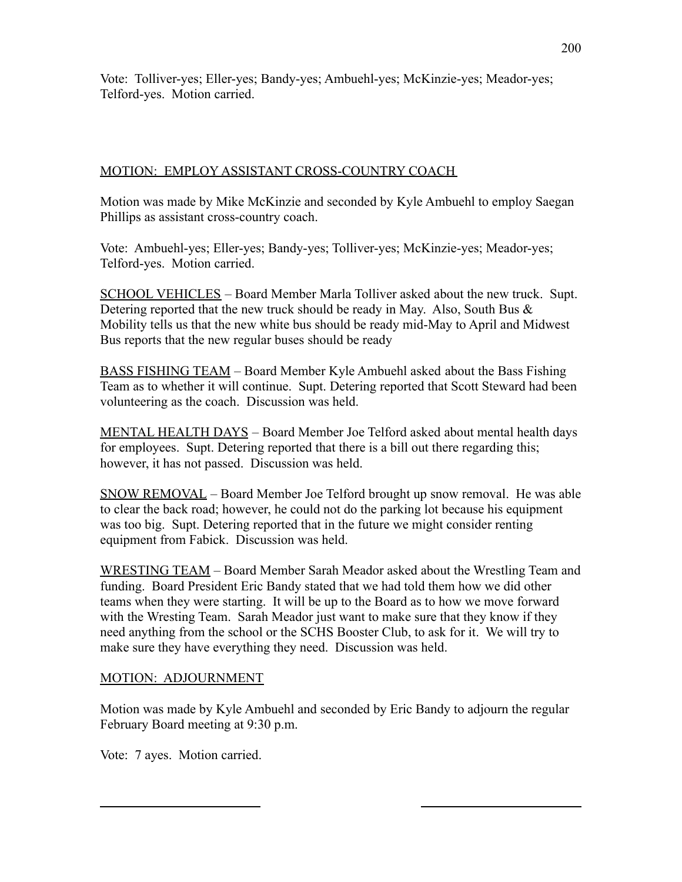Vote: Tolliver-yes; Eller-yes; Bandy-yes; Ambuehl-yes; McKinzie-yes; Meador-yes; Telford-yes. Motion carried.

## MOTION: EMPLOY ASSISTANT CROSS-COUNTRY COACH

Motion was made by Mike McKinzie and seconded by Kyle Ambuehl to employ Saegan Phillips as assistant cross-country coach.

Vote: Ambuehl-yes; Eller-yes; Bandy-yes; Tolliver-yes; McKinzie-yes; Meador-yes; Telford-yes. Motion carried.

SCHOOL VEHICLES – Board Member Marla Tolliver asked about the new truck. Supt. Detering reported that the new truck should be ready in May. Also, South Bus & Mobility tells us that the new white bus should be ready mid-May to April and Midwest Bus reports that the new regular buses should be ready

BASS FISHING TEAM – Board Member Kyle Ambuehl asked about the Bass Fishing Team as to whether it will continue. Supt. Detering reported that Scott Steward had been volunteering as the coach. Discussion was held.

MENTAL HEALTH DAYS – Board Member Joe Telford asked about mental health days for employees. Supt. Detering reported that there is a bill out there regarding this; however, it has not passed. Discussion was held.

SNOW REMOVAL – Board Member Joe Telford brought up snow removal. He was able to clear the back road; however, he could not do the parking lot because his equipment was too big. Supt. Detering reported that in the future we might consider renting equipment from Fabick. Discussion was held.

WRESTING TEAM – Board Member Sarah Meador asked about the Wrestling Team and funding. Board President Eric Bandy stated that we had told them how we did other teams when they were starting. It will be up to the Board as to how we move forward with the Wresting Team. Sarah Meador just want to make sure that they know if they need anything from the school or the SCHS Booster Club, to ask for it. We will try to make sure they have everything they need. Discussion was held.

## MOTION: ADJOURNMENT

Motion was made by Kyle Ambuehl and seconded by Eric Bandy to adjourn the regular February Board meeting at 9:30 p.m.

Vote: 7 ayes. Motion carried.